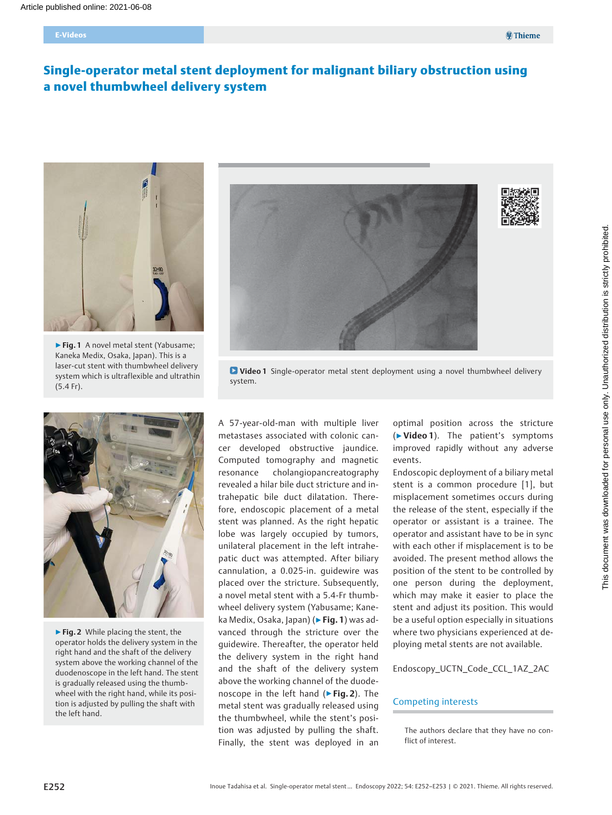# Single-operator metal stent deployment for malignant biliary obstruction using a novel thumbwheel delivery system



▶ Fig. 1 A novel metal stent (Yabusame; Kaneka Medix, Osaka, Japan). This is a laser-cut stent with thumbwheel delivery system which is ultraflexible and ultrathin (5.4 Fr).



▶ Fig. 2 While placing the stent, the operator holds the delivery system in the right hand and the shaft of the delivery system above the working channel of the duodenoscope in the left hand. The stent is gradually released using the thumbwheel with the right hand, while its position is adjusted by pulling the shaft with the left hand.



**D** Video 1 Single-operator metal stent deployment using a novel thumbwheel delivery system.

A 57-year-old-man with multiple liver metastases associated with colonic cancer developed obstructive jaundice. Computed tomography and magnetic resonance cholangiopancreatography revealed a hilar bile duct stricture and intrahepatic bile duct dilatation. Therefore, endoscopic placement of a metal stent was planned. As the right hepatic lobe was largely occupied by tumors, unilateral placement in the left intrahepatic duct was attempted. After biliary cannulation, a 0.025-in. guidewire was placed over the stricture. Subsequently, a novel metal stent with a 5.4-Fr thumbwheel delivery system (Yabusame; Kaneka Medix, Osaka, Japan) (► Fig. 1) was advanced through the stricture over the guidewire. Thereafter, the operator held the delivery system in the right hand and the shaft of the delivery system above the working channel of the duodenoscope in the left hand (▶Fig. 2). The metal stent was gradually released using the thumbwheel, while the stent's position was adjusted by pulling the shaft. Finally, the stent was deployed in an

optimal position across the stricture (▶Video 1). The patient's symptoms improved rapidly without any adverse events.

Endoscopic deployment of a biliary metal stent is a common procedure [1], but misplacement sometimes occurs during the release of the stent, especially if the operator or assistant is a trainee. The operator and assistant have to be in sync with each other if misplacement is to be avoided. The present method allows the position of the stent to be controlled by one person during the deployment, which may make it easier to place the stent and adjust its position. This would be a useful option especially in situations where two physicians experienced at deploying metal stents are not available.

Endoscopy\_UCTN\_Code\_CCL\_1AZ\_2AC

### Competing interests

The authors declare that they have no conflict of interest.